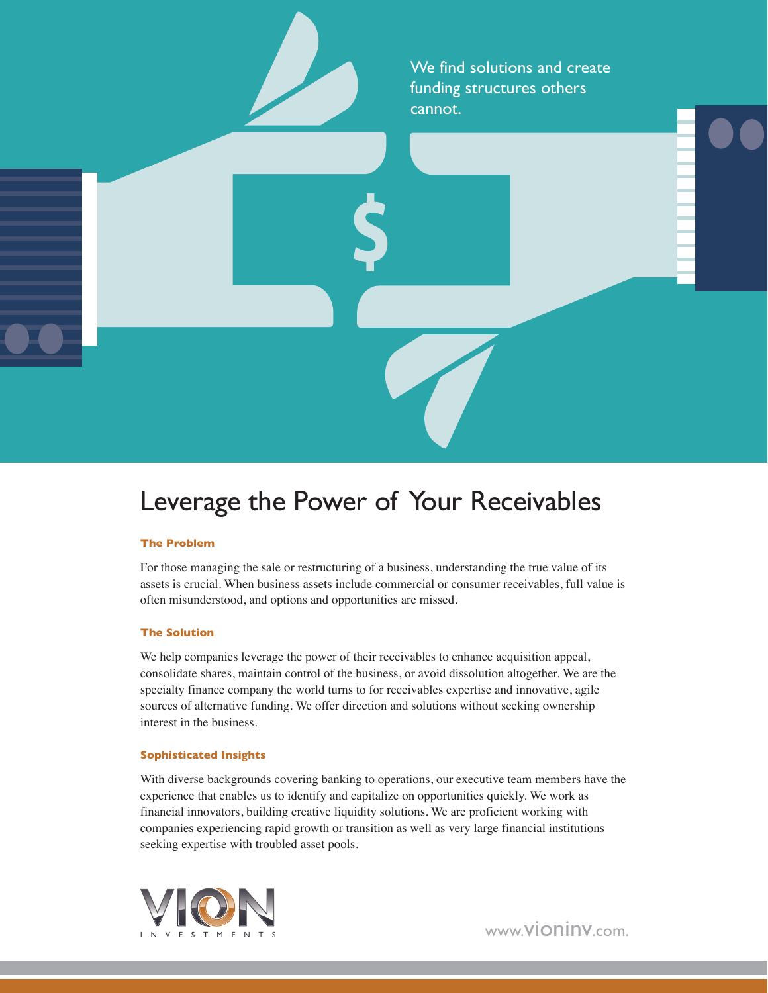We find solutions and create funding structures others cannot.

Leverage the Power of Your Receivables

### **The Problem**

For those managing the sale or restructuring of a business, understanding the true value of its assets is crucial. When business assets include commercial or consumer receivables, full value is often misunderstood, and options and opportunities are missed.

#### **The Solution**

We help companies leverage the power of their receivables to enhance acquisition appeal, consolidate shares, maintain control of the business, or avoid dissolution altogether. We are the specialty finance company the world turns to for receivables expertise and innovative, agile sources of alternative funding. We offer direction and solutions without seeking ownership interest in the business.

#### **Sophisticated Insights**

With diverse backgrounds covering banking to operations, our executive team members have the experience that enables us to identify and capitalize on opportunities quickly. We work as financial innovators, building creative liquidity solutions. We are proficient working with companies experiencing rapid growth or transition as well as very large financial institutions seeking expertise with troubled asset pools.



www.vioninv.com.